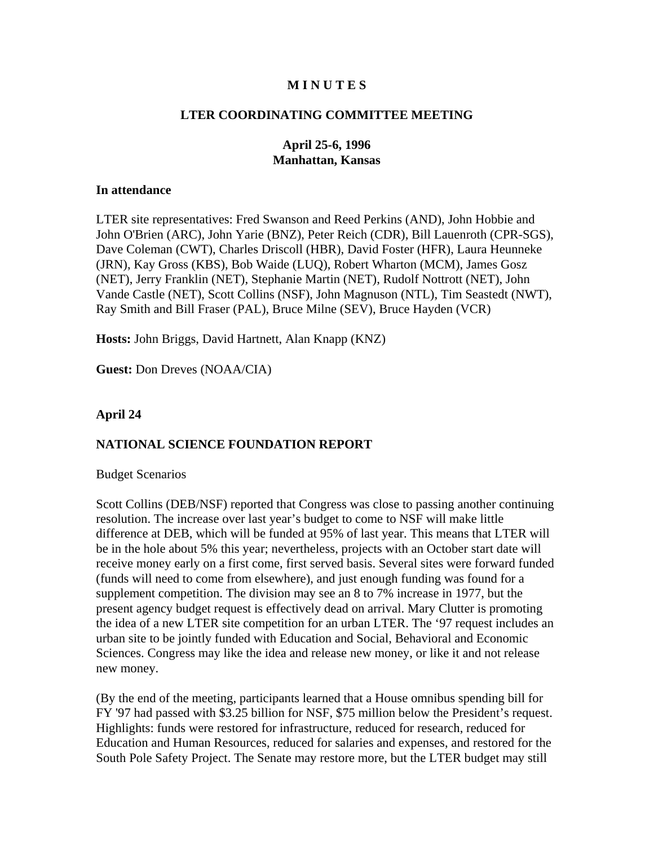### **M I N U T E S**

#### **LTER COORDINATING COMMITTEE MEETING**

### **April 25-6, 1996 Manhattan, Kansas**

#### **In attendance**

LTER site representatives: Fred Swanson and Reed Perkins (AND), John Hobbie and John O'Brien (ARC), John Yarie (BNZ), Peter Reich (CDR), Bill Lauenroth (CPR-SGS), Dave Coleman (CWT), Charles Driscoll (HBR), David Foster (HFR), Laura Heunneke (JRN), Kay Gross (KBS), Bob Waide (LUQ), Robert Wharton (MCM), James Gosz (NET), Jerry Franklin (NET), Stephanie Martin (NET), Rudolf Nottrott (NET), John Vande Castle (NET), Scott Collins (NSF), John Magnuson (NTL), Tim Seastedt (NWT), Ray Smith and Bill Fraser (PAL), Bruce Milne (SEV), Bruce Hayden (VCR)

**Hosts:** John Briggs, David Hartnett, Alan Knapp (KNZ)

**Guest:** Don Dreves (NOAA/CIA)

#### **April 24**

#### **NATIONAL SCIENCE FOUNDATION REPORT**

Budget Scenarios

Scott Collins (DEB/NSF) reported that Congress was close to passing another continuing resolution. The increase over last year's budget to come to NSF will make little difference at DEB, which will be funded at 95% of last year. This means that LTER will be in the hole about 5% this year; nevertheless, projects with an October start date will receive money early on a first come, first served basis. Several sites were forward funded (funds will need to come from elsewhere), and just enough funding was found for a supplement competition. The division may see an 8 to 7% increase in 1977, but the present agency budget request is effectively dead on arrival. Mary Clutter is promoting the idea of a new LTER site competition for an urban LTER. The '97 request includes an urban site to be jointly funded with Education and Social, Behavioral and Economic Sciences. Congress may like the idea and release new money, or like it and not release new money.

(By the end of the meeting, participants learned that a House omnibus spending bill for FY '97 had passed with \$3.25 billion for NSF, \$75 million below the President's request. Highlights: funds were restored for infrastructure, reduced for research, reduced for Education and Human Resources, reduced for salaries and expenses, and restored for the South Pole Safety Project. The Senate may restore more, but the LTER budget may still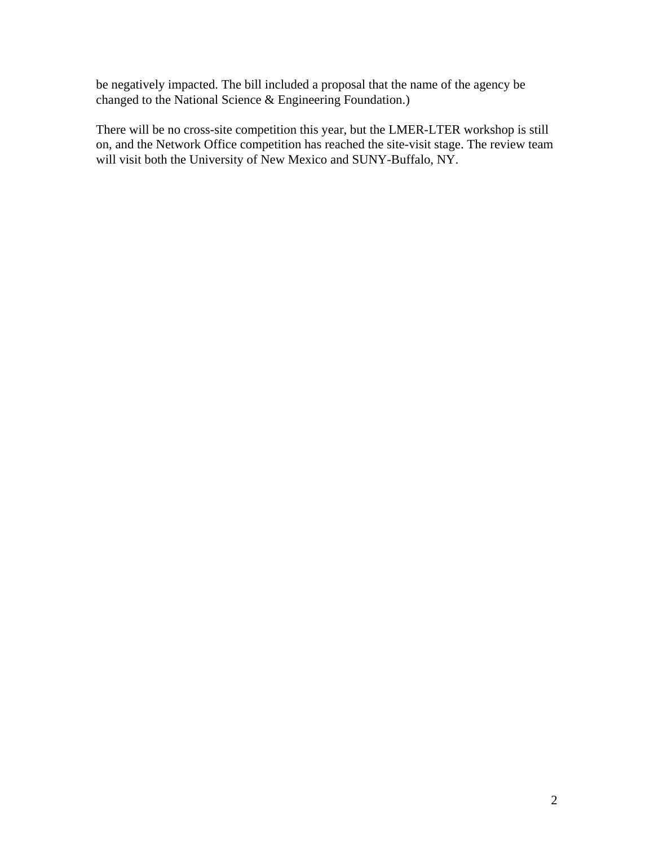be negatively impacted. The bill included a proposal that the name of the agency be changed to the National Science & Engineering Foundation.)

There will be no cross-site competition this year, but the LMER-LTER workshop is still on, and the Network Office competition has reached the site-visit stage. The review team will visit both the University of New Mexico and SUNY-Buffalo, NY.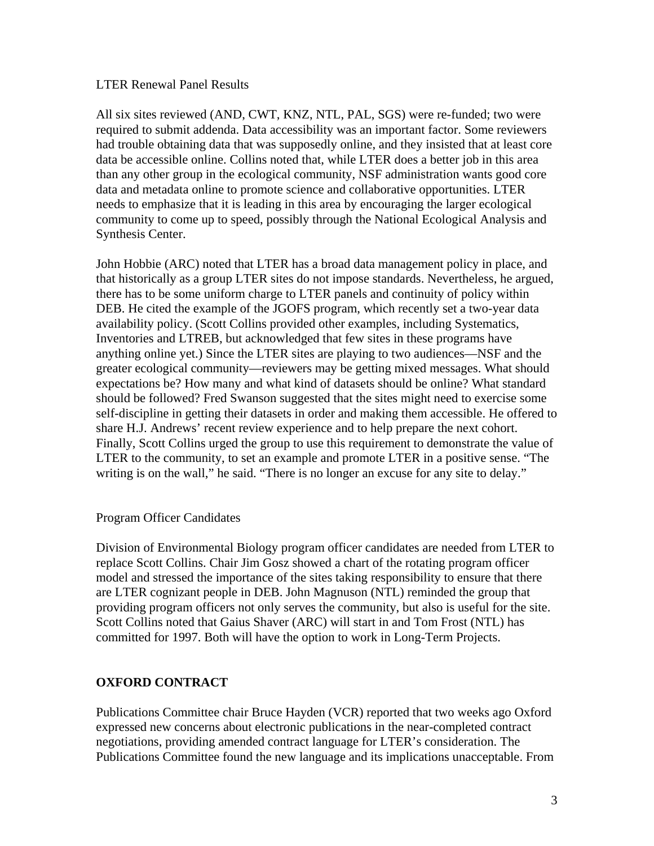### LTER Renewal Panel Results

All six sites reviewed (AND, CWT, KNZ, NTL, PAL, SGS) were re-funded; two were required to submit addenda. Data accessibility was an important factor. Some reviewers had trouble obtaining data that was supposedly online, and they insisted that at least core data be accessible online. Collins noted that, while LTER does a better job in this area than any other group in the ecological community, NSF administration wants good core data and metadata online to promote science and collaborative opportunities. LTER needs to emphasize that it is leading in this area by encouraging the larger ecological community to come up to speed, possibly through the National Ecological Analysis and Synthesis Center.

John Hobbie (ARC) noted that LTER has a broad data management policy in place, and that historically as a group LTER sites do not impose standards. Nevertheless, he argued, there has to be some uniform charge to LTER panels and continuity of policy within DEB. He cited the example of the JGOFS program, which recently set a two-year data availability policy. (Scott Collins provided other examples, including Systematics, Inventories and LTREB, but acknowledged that few sites in these programs have anything online yet.) Since the LTER sites are playing to two audiences—NSF and the greater ecological community—reviewers may be getting mixed messages. What should expectations be? How many and what kind of datasets should be online? What standard should be followed? Fred Swanson suggested that the sites might need to exercise some self-discipline in getting their datasets in order and making them accessible. He offered to share H.J. Andrews' recent review experience and to help prepare the next cohort. Finally, Scott Collins urged the group to use this requirement to demonstrate the value of LTER to the community, to set an example and promote LTER in a positive sense. "The writing is on the wall," he said. "There is no longer an excuse for any site to delay."

### Program Officer Candidates

Division of Environmental Biology program officer candidates are needed from LTER to replace Scott Collins. Chair Jim Gosz showed a chart of the rotating program officer model and stressed the importance of the sites taking responsibility to ensure that there are LTER cognizant people in DEB. John Magnuson (NTL) reminded the group that providing program officers not only serves the community, but also is useful for the site. Scott Collins noted that Gaius Shaver (ARC) will start in and Tom Frost (NTL) has committed for 1997. Both will have the option to work in Long-Term Projects.

# **OXFORD CONTRACT**

Publications Committee chair Bruce Hayden (VCR) reported that two weeks ago Oxford expressed new concerns about electronic publications in the near-completed contract negotiations, providing amended contract language for LTER's consideration. The Publications Committee found the new language and its implications unacceptable. From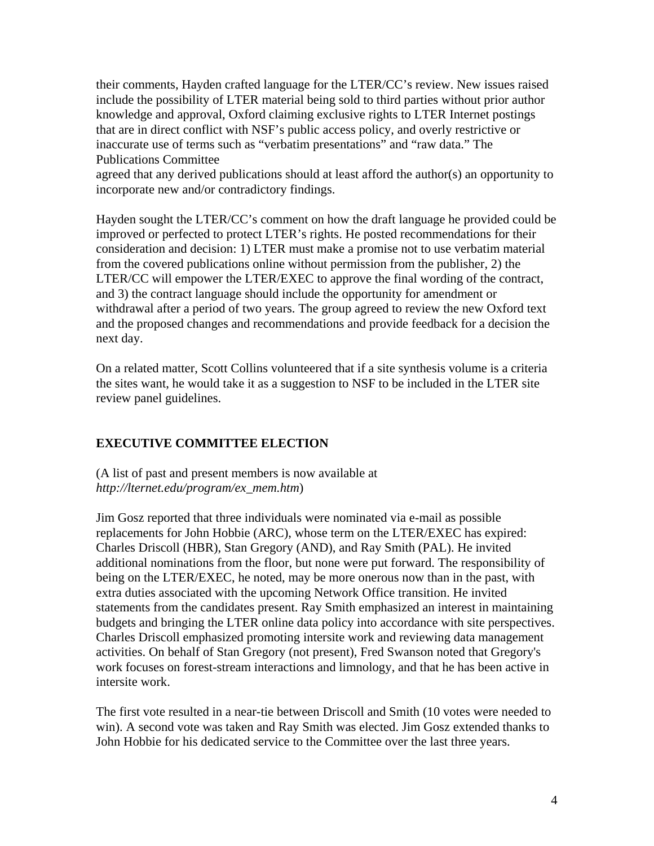their comments, Hayden crafted language for the LTER/CC's review. New issues raised include the possibility of LTER material being sold to third parties without prior author knowledge and approval, Oxford claiming exclusive rights to LTER Internet postings that are in direct conflict with NSF's public access policy, and overly restrictive or inaccurate use of terms such as "verbatim presentations" and "raw data." The Publications Committee

agreed that any derived publications should at least afford the author(s) an opportunity to incorporate new and/or contradictory findings.

Hayden sought the LTER/CC's comment on how the draft language he provided could be improved or perfected to protect LTER's rights. He posted recommendations for their consideration and decision: 1) LTER must make a promise not to use verbatim material from the covered publications online without permission from the publisher, 2) the LTER/CC will empower the LTER/EXEC to approve the final wording of the contract, and 3) the contract language should include the opportunity for amendment or withdrawal after a period of two years. The group agreed to review the new Oxford text and the proposed changes and recommendations and provide feedback for a decision the next day.

On a related matter, Scott Collins volunteered that if a site synthesis volume is a criteria the sites want, he would take it as a suggestion to NSF to be included in the LTER site review panel guidelines.

# **EXECUTIVE COMMITTEE ELECTION**

(A list of past and present members is now available at *http://lternet.edu/program/ex\_mem.htm*)

Jim Gosz reported that three individuals were nominated via e-mail as possible replacements for John Hobbie (ARC), whose term on the LTER/EXEC has expired: Charles Driscoll (HBR), Stan Gregory (AND), and Ray Smith (PAL). He invited additional nominations from the floor, but none were put forward. The responsibility of being on the LTER/EXEC, he noted, may be more onerous now than in the past, with extra duties associated with the upcoming Network Office transition. He invited statements from the candidates present. Ray Smith emphasized an interest in maintaining budgets and bringing the LTER online data policy into accordance with site perspectives. Charles Driscoll emphasized promoting intersite work and reviewing data management activities. On behalf of Stan Gregory (not present), Fred Swanson noted that Gregory's work focuses on forest-stream interactions and limnology, and that he has been active in intersite work.

The first vote resulted in a near-tie between Driscoll and Smith (10 votes were needed to win). A second vote was taken and Ray Smith was elected. Jim Gosz extended thanks to John Hobbie for his dedicated service to the Committee over the last three years.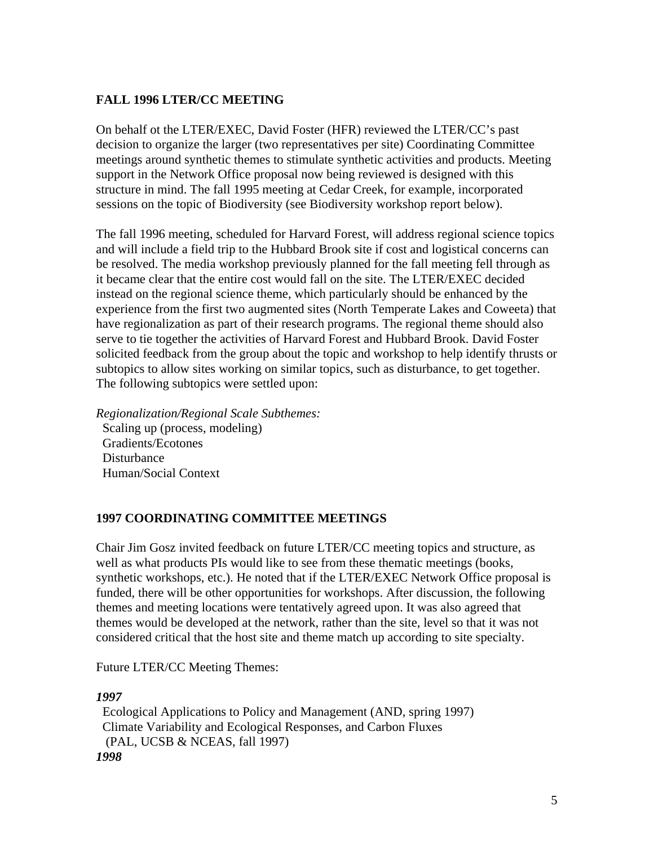# **FALL 1996 LTER/CC MEETING**

On behalf ot the LTER/EXEC, David Foster (HFR) reviewed the LTER/CC's past decision to organize the larger (two representatives per site) Coordinating Committee meetings around synthetic themes to stimulate synthetic activities and products. Meeting support in the Network Office proposal now being reviewed is designed with this structure in mind. The fall 1995 meeting at Cedar Creek, for example, incorporated sessions on the topic of Biodiversity (see Biodiversity workshop report below).

The fall 1996 meeting, scheduled for Harvard Forest, will address regional science topics and will include a field trip to the Hubbard Brook site if cost and logistical concerns can be resolved. The media workshop previously planned for the fall meeting fell through as it became clear that the entire cost would fall on the site. The LTER/EXEC decided instead on the regional science theme, which particularly should be enhanced by the experience from the first two augmented sites (North Temperate Lakes and Coweeta) that have regionalization as part of their research programs. The regional theme should also serve to tie together the activities of Harvard Forest and Hubbard Brook. David Foster solicited feedback from the group about the topic and workshop to help identify thrusts or subtopics to allow sites working on similar topics, such as disturbance, to get together. The following subtopics were settled upon:

*Regionalization/Regional Scale Subthemes:* Scaling up (process, modeling) Gradients/Ecotones Disturbance Human/Social Context

# **1997 COORDINATING COMMITTEE MEETINGS**

Chair Jim Gosz invited feedback on future LTER/CC meeting topics and structure, as well as what products PIs would like to see from these thematic meetings (books, synthetic workshops, etc.). He noted that if the LTER/EXEC Network Office proposal is funded, there will be other opportunities for workshops. After discussion, the following themes and meeting locations were tentatively agreed upon. It was also agreed that themes would be developed at the network, rather than the site, level so that it was not considered critical that the host site and theme match up according to site specialty.

Future LTER/CC Meeting Themes:

### *1997*

 Ecological Applications to Policy and Management (AND, spring 1997) Climate Variability and Ecological Responses, and Carbon Fluxes (PAL, UCSB & NCEAS, fall 1997)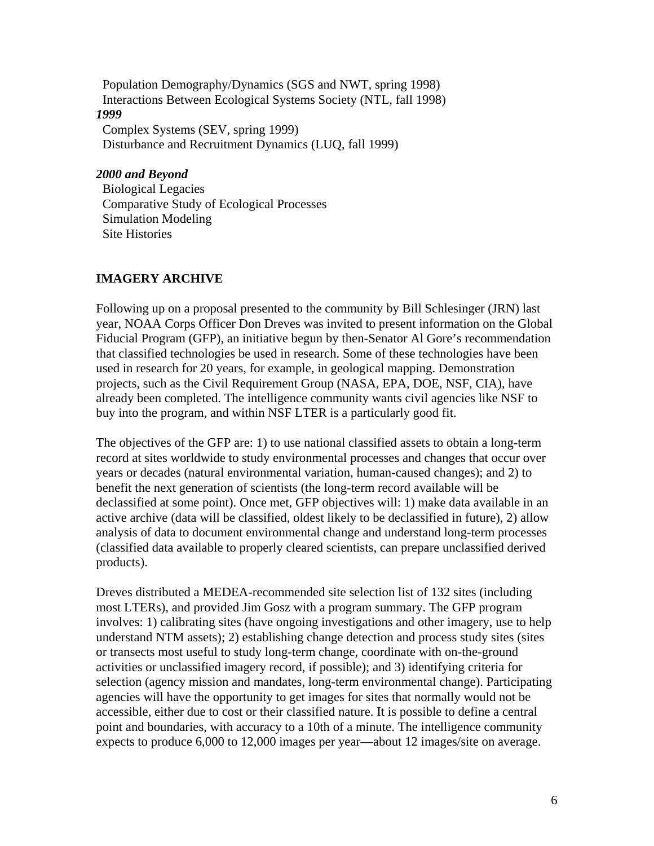Population Demography/Dynamics (SGS and NWT, spring 1998) Interactions Between Ecological Systems Society (NTL, fall 1998) *1999* Complex Systems (SEV, spring 1999) Disturbance and Recruitment Dynamics (LUQ, fall 1999)

# *2000 and Beyond*

 Biological Legacies Comparative Study of Ecological Processes Simulation Modeling Site Histories

## **IMAGERY ARCHIVE**

Following up on a proposal presented to the community by Bill Schlesinger (JRN) last year, NOAA Corps Officer Don Dreves was invited to present information on the Global Fiducial Program (GFP), an initiative begun by then-Senator Al Gore's recommendation that classified technologies be used in research. Some of these technologies have been used in research for 20 years, for example, in geological mapping. Demonstration projects, such as the Civil Requirement Group (NASA, EPA, DOE, NSF, CIA), have already been completed. The intelligence community wants civil agencies like NSF to buy into the program, and within NSF LTER is a particularly good fit.

The objectives of the GFP are: 1) to use national classified assets to obtain a long-term record at sites worldwide to study environmental processes and changes that occur over years or decades (natural environmental variation, human-caused changes); and 2) to benefit the next generation of scientists (the long-term record available will be declassified at some point). Once met, GFP objectives will: 1) make data available in an active archive (data will be classified, oldest likely to be declassified in future), 2) allow analysis of data to document environmental change and understand long-term processes (classified data available to properly cleared scientists, can prepare unclassified derived products).

Dreves distributed a MEDEA-recommended site selection list of 132 sites (including most LTERs), and provided Jim Gosz with a program summary. The GFP program involves: 1) calibrating sites (have ongoing investigations and other imagery, use to help understand NTM assets); 2) establishing change detection and process study sites (sites or transects most useful to study long-term change, coordinate with on-the-ground activities or unclassified imagery record, if possible); and 3) identifying criteria for selection (agency mission and mandates, long-term environmental change). Participating agencies will have the opportunity to get images for sites that normally would not be accessible, either due to cost or their classified nature. It is possible to define a central point and boundaries, with accuracy to a 10th of a minute. The intelligence community expects to produce 6,000 to 12,000 images per year—about 12 images/site on average.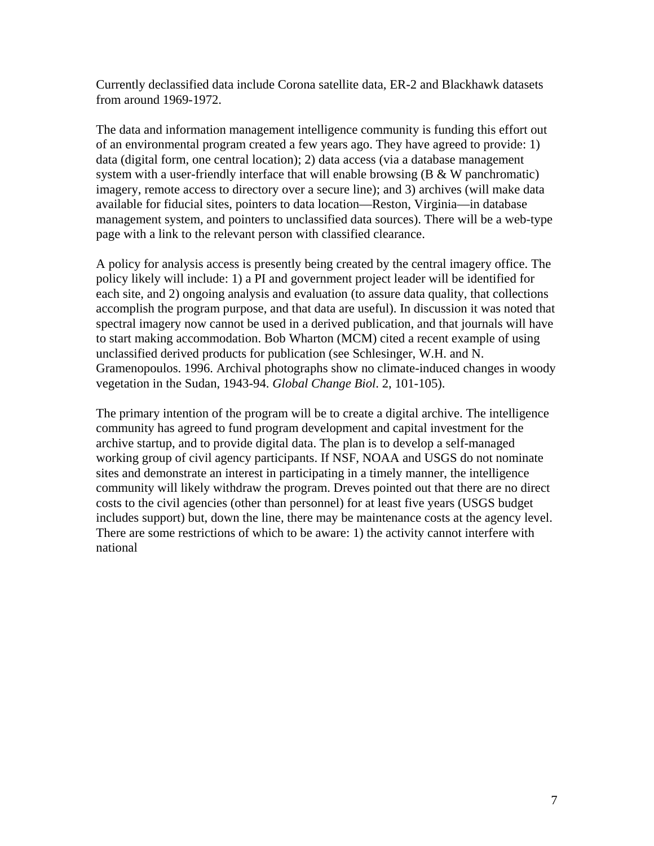Currently declassified data include Corona satellite data, ER-2 and Blackhawk datasets from around 1969-1972.

The data and information management intelligence community is funding this effort out of an environmental program created a few years ago. They have agreed to provide: 1) data (digital form, one central location); 2) data access (via a database management system with a user-friendly interface that will enable browsing  $(B & W\text{ panchromatic})$ imagery, remote access to directory over a secure line); and 3) archives (will make data available for fiducial sites, pointers to data location—Reston, Virginia—in database management system, and pointers to unclassified data sources). There will be a web-type page with a link to the relevant person with classified clearance.

A policy for analysis access is presently being created by the central imagery office. The policy likely will include: 1) a PI and government project leader will be identified for each site, and 2) ongoing analysis and evaluation (to assure data quality, that collections accomplish the program purpose, and that data are useful). In discussion it was noted that spectral imagery now cannot be used in a derived publication, and that journals will have to start making accommodation. Bob Wharton (MCM) cited a recent example of using unclassified derived products for publication (see Schlesinger, W.H. and N. Gramenopoulos. 1996. Archival photographs show no climate-induced changes in woody vegetation in the Sudan, 1943-94. *Global Change Biol*. 2, 101-105).

The primary intention of the program will be to create a digital archive. The intelligence community has agreed to fund program development and capital investment for the archive startup, and to provide digital data. The plan is to develop a self-managed working group of civil agency participants. If NSF, NOAA and USGS do not nominate sites and demonstrate an interest in participating in a timely manner, the intelligence community will likely withdraw the program. Dreves pointed out that there are no direct costs to the civil agencies (other than personnel) for at least five years (USGS budget includes support) but, down the line, there may be maintenance costs at the agency level. There are some restrictions of which to be aware: 1) the activity cannot interfere with national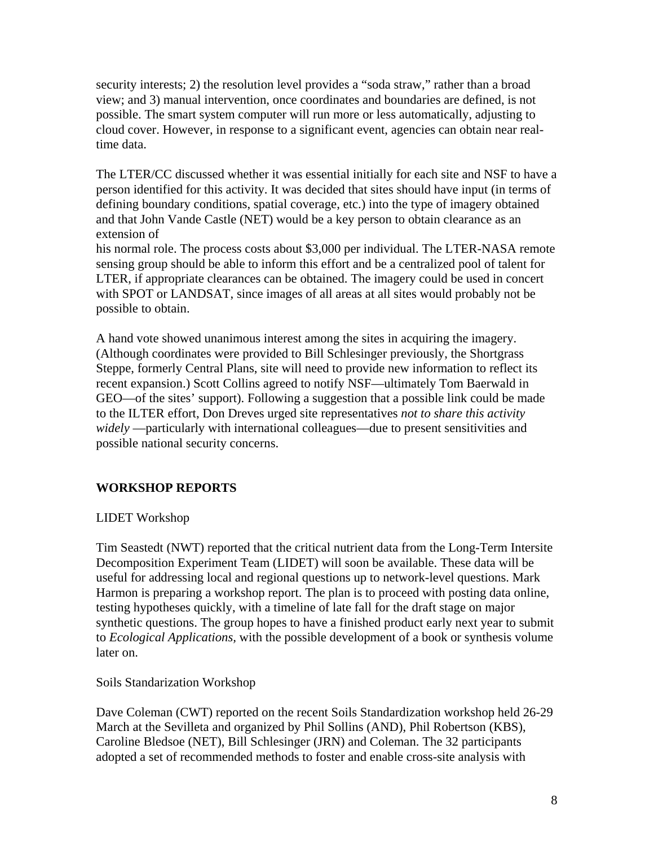security interests; 2) the resolution level provides a "soda straw," rather than a broad view; and 3) manual intervention, once coordinates and boundaries are defined, is not possible. The smart system computer will run more or less automatically, adjusting to cloud cover. However, in response to a significant event, agencies can obtain near realtime data.

The LTER/CC discussed whether it was essential initially for each site and NSF to have a person identified for this activity. It was decided that sites should have input (in terms of defining boundary conditions, spatial coverage, etc.) into the type of imagery obtained and that John Vande Castle (NET) would be a key person to obtain clearance as an extension of

his normal role. The process costs about \$3,000 per individual. The LTER-NASA remote sensing group should be able to inform this effort and be a centralized pool of talent for LTER, if appropriate clearances can be obtained. The imagery could be used in concert with SPOT or LANDSAT, since images of all areas at all sites would probably not be possible to obtain.

A hand vote showed unanimous interest among the sites in acquiring the imagery. (Although coordinates were provided to Bill Schlesinger previously, the Shortgrass Steppe, formerly Central Plans, site will need to provide new information to reflect its recent expansion.) Scott Collins agreed to notify NSF—ultimately Tom Baerwald in GEO—of the sites' support). Following a suggestion that a possible link could be made to the ILTER effort, Don Dreves urged site representatives *not to share this activity widely* —particularly with international colleagues—due to present sensitivities and possible national security concerns.

# **WORKSHOP REPORTS**

# LIDET Workshop

Tim Seastedt (NWT) reported that the critical nutrient data from the Long-Term Intersite Decomposition Experiment Team (LIDET) will soon be available. These data will be useful for addressing local and regional questions up to network-level questions. Mark Harmon is preparing a workshop report. The plan is to proceed with posting data online, testing hypotheses quickly, with a timeline of late fall for the draft stage on major synthetic questions. The group hopes to have a finished product early next year to submit to *Ecological Applications,* with the possible development of a book or synthesis volume later on.

### Soils Standarization Workshop

Dave Coleman (CWT) reported on the recent Soils Standardization workshop held 26-29 March at the Sevilleta and organized by Phil Sollins (AND), Phil Robertson (KBS), Caroline Bledsoe (NET), Bill Schlesinger (JRN) and Coleman. The 32 participants adopted a set of recommended methods to foster and enable cross-site analysis with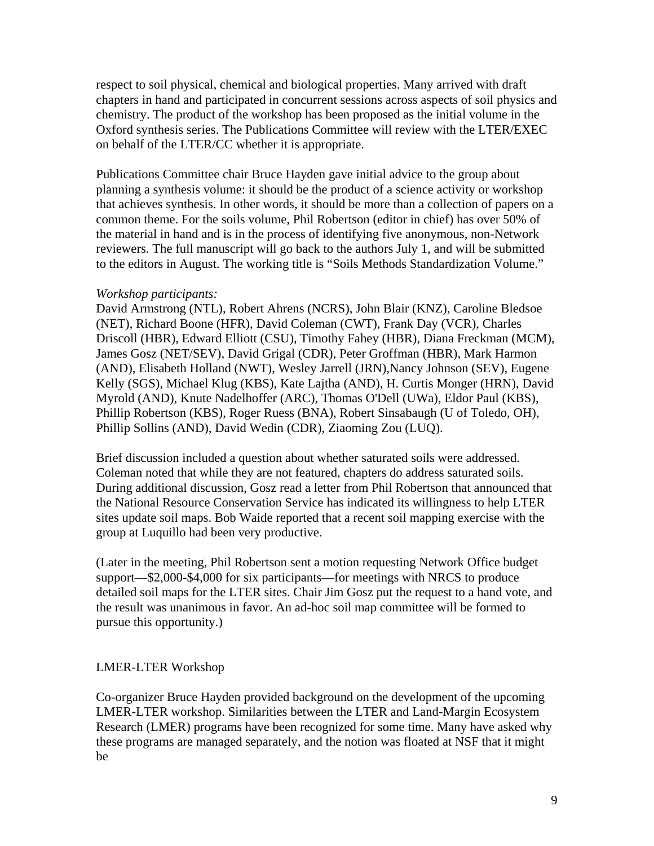respect to soil physical, chemical and biological properties. Many arrived with draft chapters in hand and participated in concurrent sessions across aspects of soil physics and chemistry. The product of the workshop has been proposed as the initial volume in the Oxford synthesis series. The Publications Committee will review with the LTER/EXEC on behalf of the LTER/CC whether it is appropriate.

Publications Committee chair Bruce Hayden gave initial advice to the group about planning a synthesis volume: it should be the product of a science activity or workshop that achieves synthesis. In other words, it should be more than a collection of papers on a common theme. For the soils volume, Phil Robertson (editor in chief) has over 50% of the material in hand and is in the process of identifying five anonymous, non-Network reviewers. The full manuscript will go back to the authors July 1, and will be submitted to the editors in August. The working title is "Soils Methods Standardization Volume."

#### *Workshop participants:*

David Armstrong (NTL), Robert Ahrens (NCRS), John Blair (KNZ), Caroline Bledsoe (NET), Richard Boone (HFR), David Coleman (CWT), Frank Day (VCR), Charles Driscoll (HBR), Edward Elliott (CSU), Timothy Fahey (HBR), Diana Freckman (MCM), James Gosz (NET/SEV), David Grigal (CDR), Peter Groffman (HBR), Mark Harmon (AND), Elisabeth Holland (NWT), Wesley Jarrell (JRN),Nancy Johnson (SEV), Eugene Kelly (SGS), Michael Klug (KBS), Kate Lajtha (AND), H. Curtis Monger (HRN), David Myrold (AND), Knute Nadelhoffer (ARC), Thomas O'Dell (UWa), Eldor Paul (KBS), Phillip Robertson (KBS), Roger Ruess (BNA), Robert Sinsabaugh (U of Toledo, OH), Phillip Sollins (AND), David Wedin (CDR), Ziaoming Zou (LUQ).

Brief discussion included a question about whether saturated soils were addressed. Coleman noted that while they are not featured, chapters do address saturated soils. During additional discussion, Gosz read a letter from Phil Robertson that announced that the National Resource Conservation Service has indicated its willingness to help LTER sites update soil maps. Bob Waide reported that a recent soil mapping exercise with the group at Luquillo had been very productive.

(Later in the meeting, Phil Robertson sent a motion requesting Network Office budget support—\$2,000-\$4,000 for six participants—for meetings with NRCS to produce detailed soil maps for the LTER sites. Chair Jim Gosz put the request to a hand vote, and the result was unanimous in favor. An ad-hoc soil map committee will be formed to pursue this opportunity.)

### LMER-LTER Workshop

Co-organizer Bruce Hayden provided background on the development of the upcoming LMER-LTER workshop. Similarities between the LTER and Land-Margin Ecosystem Research (LMER) programs have been recognized for some time. Many have asked why these programs are managed separately, and the notion was floated at NSF that it might be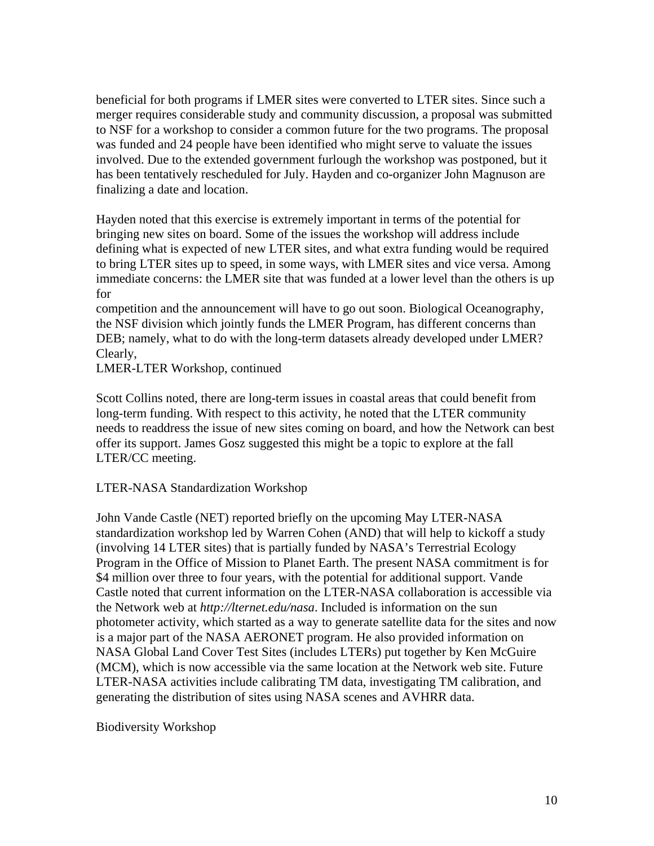beneficial for both programs if LMER sites were converted to LTER sites. Since such a merger requires considerable study and community discussion, a proposal was submitted to NSF for a workshop to consider a common future for the two programs. The proposal was funded and 24 people have been identified who might serve to valuate the issues involved. Due to the extended government furlough the workshop was postponed, but it has been tentatively rescheduled for July. Hayden and co-organizer John Magnuson are finalizing a date and location.

Hayden noted that this exercise is extremely important in terms of the potential for bringing new sites on board. Some of the issues the workshop will address include defining what is expected of new LTER sites, and what extra funding would be required to bring LTER sites up to speed, in some ways, with LMER sites and vice versa. Among immediate concerns: the LMER site that was funded at a lower level than the others is up for

competition and the announcement will have to go out soon. Biological Oceanography, the NSF division which jointly funds the LMER Program, has different concerns than DEB; namely, what to do with the long-term datasets already developed under LMER? Clearly,

LMER-LTER Workshop, continued

Scott Collins noted, there are long-term issues in coastal areas that could benefit from long-term funding. With respect to this activity, he noted that the LTER community needs to readdress the issue of new sites coming on board, and how the Network can best offer its support. James Gosz suggested this might be a topic to explore at the fall LTER/CC meeting.

### LTER-NASA Standardization Workshop

John Vande Castle (NET) reported briefly on the upcoming May LTER-NASA standardization workshop led by Warren Cohen (AND) that will help to kickoff a study (involving 14 LTER sites) that is partially funded by NASA's Terrestrial Ecology Program in the Office of Mission to Planet Earth. The present NASA commitment is for \$4 million over three to four years, with the potential for additional support. Vande Castle noted that current information on the LTER-NASA collaboration is accessible via the Network web at *http://lternet.edu/nasa*. Included is information on the sun photometer activity, which started as a way to generate satellite data for the sites and now is a major part of the NASA AERONET program. He also provided information on NASA Global Land Cover Test Sites (includes LTERs) put together by Ken McGuire (MCM), which is now accessible via the same location at the Network web site. Future LTER-NASA activities include calibrating TM data, investigating TM calibration, and generating the distribution of sites using NASA scenes and AVHRR data.

Biodiversity Workshop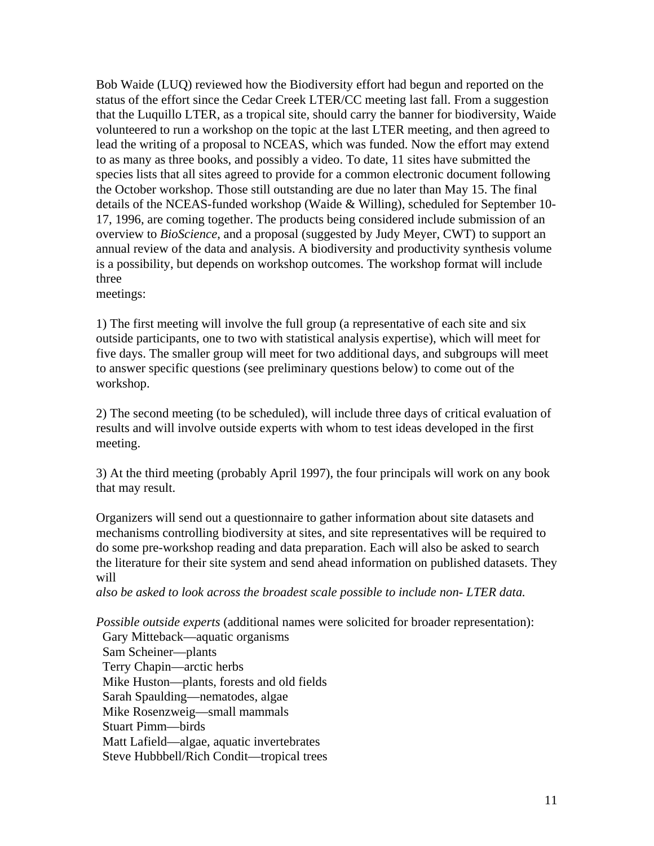Bob Waide (LUQ) reviewed how the Biodiversity effort had begun and reported on the status of the effort since the Cedar Creek LTER/CC meeting last fall. From a suggestion that the Luquillo LTER, as a tropical site, should carry the banner for biodiversity, Waide volunteered to run a workshop on the topic at the last LTER meeting, and then agreed to lead the writing of a proposal to NCEAS, which was funded. Now the effort may extend to as many as three books, and possibly a video. To date, 11 sites have submitted the species lists that all sites agreed to provide for a common electronic document following the October workshop. Those still outstanding are due no later than May 15. The final details of the NCEAS-funded workshop (Waide & Willing), scheduled for September 10- 17, 1996, are coming together. The products being considered include submission of an overview to *BioScience*, and a proposal (suggested by Judy Meyer, CWT) to support an annual review of the data and analysis. A biodiversity and productivity synthesis volume is a possibility, but depends on workshop outcomes. The workshop format will include three

meetings:

1) The first meeting will involve the full group (a representative of each site and six outside participants, one to two with statistical analysis expertise), which will meet for five days. The smaller group will meet for two additional days, and subgroups will meet to answer specific questions (see preliminary questions below) to come out of the workshop.

2) The second meeting (to be scheduled), will include three days of critical evaluation of results and will involve outside experts with whom to test ideas developed in the first meeting.

3) At the third meeting (probably April 1997), the four principals will work on any book that may result.

Organizers will send out a questionnaire to gather information about site datasets and mechanisms controlling biodiversity at sites, and site representatives will be required to do some pre-workshop reading and data preparation. Each will also be asked to search the literature for their site system and send ahead information on published datasets. They will

*also be asked to look across the broadest scale possible to include non- LTER data.* 

*Possible outside experts* (additional names were solicited for broader representation): Gary Mitteback—aquatic organisms Sam Scheiner—plants Terry Chapin—arctic herbs Mike Huston—plants, forests and old fields Sarah Spaulding—nematodes, algae Mike Rosenzweig—small mammals Stuart Pimm—birds Matt Lafield—algae, aquatic invertebrates Steve Hubbbell/Rich Condit—tropical trees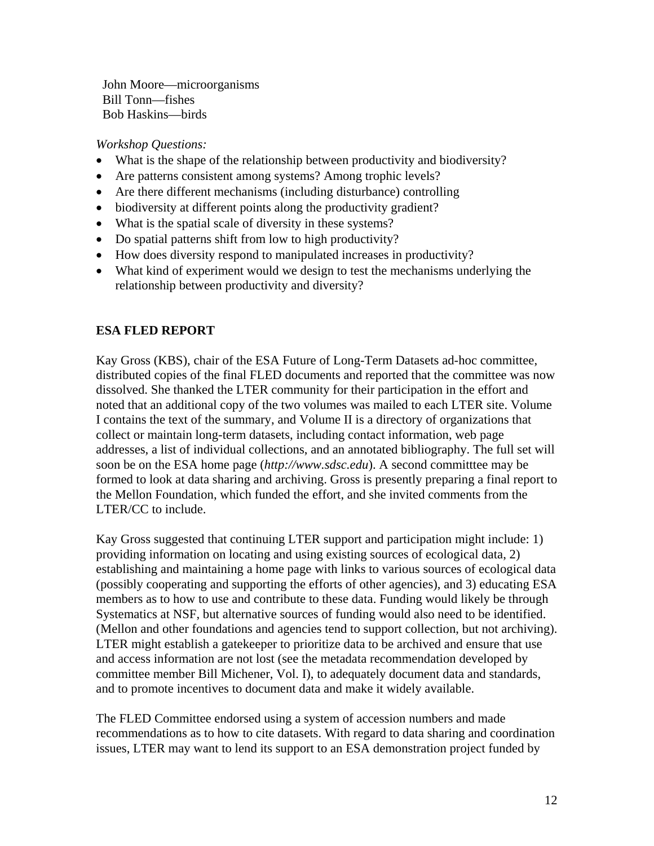John Moore—microorganisms Bill Tonn—fishes Bob Haskins—birds

*Workshop Questions:*

- What is the shape of the relationship between productivity and biodiversity?
- Are patterns consistent among systems? Among trophic levels?
- Are there different mechanisms (including disturbance) controlling
- biodiversity at different points along the productivity gradient?
- What is the spatial scale of diversity in these systems?
- Do spatial patterns shift from low to high productivity?
- How does diversity respond to manipulated increases in productivity?
- What kind of experiment would we design to test the mechanisms underlying the relationship between productivity and diversity?

# **ESA FLED REPORT**

Kay Gross (KBS), chair of the ESA Future of Long-Term Datasets ad-hoc committee, distributed copies of the final FLED documents and reported that the committee was now dissolved. She thanked the LTER community for their participation in the effort and noted that an additional copy of the two volumes was mailed to each LTER site. Volume I contains the text of the summary, and Volume II is a directory of organizations that collect or maintain long-term datasets, including contact information, web page addresses, a list of individual collections, and an annotated bibliography. The full set will soon be on the ESA home page (*http://www.sdsc.edu*). A second committtee may be formed to look at data sharing and archiving. Gross is presently preparing a final report to the Mellon Foundation, which funded the effort, and she invited comments from the LTER/CC to include.

Kay Gross suggested that continuing LTER support and participation might include: 1) providing information on locating and using existing sources of ecological data, 2) establishing and maintaining a home page with links to various sources of ecological data (possibly cooperating and supporting the efforts of other agencies), and 3) educating ESA members as to how to use and contribute to these data. Funding would likely be through Systematics at NSF, but alternative sources of funding would also need to be identified. (Mellon and other foundations and agencies tend to support collection, but not archiving). LTER might establish a gatekeeper to prioritize data to be archived and ensure that use and access information are not lost (see the metadata recommendation developed by committee member Bill Michener, Vol. I), to adequately document data and standards, and to promote incentives to document data and make it widely available.

The FLED Committee endorsed using a system of accession numbers and made recommendations as to how to cite datasets. With regard to data sharing and coordination issues, LTER may want to lend its support to an ESA demonstration project funded by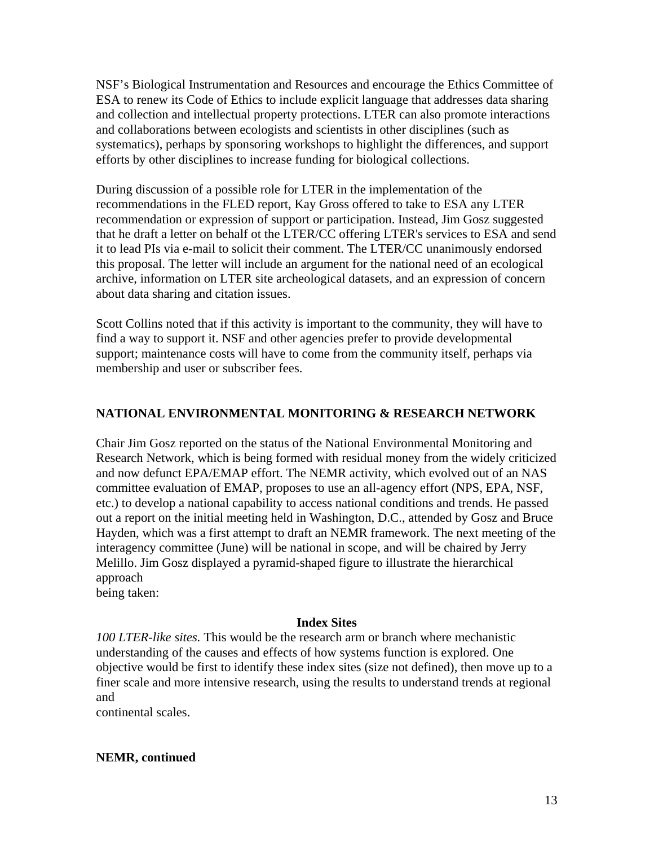NSF's Biological Instrumentation and Resources and encourage the Ethics Committee of ESA to renew its Code of Ethics to include explicit language that addresses data sharing and collection and intellectual property protections. LTER can also promote interactions and collaborations between ecologists and scientists in other disciplines (such as systematics), perhaps by sponsoring workshops to highlight the differences, and support efforts by other disciplines to increase funding for biological collections.

During discussion of a possible role for LTER in the implementation of the recommendations in the FLED report, Kay Gross offered to take to ESA any LTER recommendation or expression of support or participation. Instead, Jim Gosz suggested that he draft a letter on behalf ot the LTER/CC offering LTER's services to ESA and send it to lead PIs via e-mail to solicit their comment. The LTER/CC unanimously endorsed this proposal. The letter will include an argument for the national need of an ecological archive, information on LTER site archeological datasets, and an expression of concern about data sharing and citation issues.

Scott Collins noted that if this activity is important to the community, they will have to find a way to support it. NSF and other agencies prefer to provide developmental support; maintenance costs will have to come from the community itself, perhaps via membership and user or subscriber fees.

# **NATIONAL ENVIRONMENTAL MONITORING & RESEARCH NETWORK**

Chair Jim Gosz reported on the status of the National Environmental Monitoring and Research Network, which is being formed with residual money from the widely criticized and now defunct EPA/EMAP effort. The NEMR activity, which evolved out of an NAS committee evaluation of EMAP, proposes to use an all-agency effort (NPS, EPA, NSF, etc.) to develop a national capability to access national conditions and trends. He passed out a report on the initial meeting held in Washington, D.C., attended by Gosz and Bruce Hayden, which was a first attempt to draft an NEMR framework. The next meeting of the interagency committee (June) will be national in scope, and will be chaired by Jerry Melillo. Jim Gosz displayed a pyramid-shaped figure to illustrate the hierarchical approach being taken:

**Index Sites**

*100 LTER-like sites.* This would be the research arm or branch where mechanistic understanding of the causes and effects of how systems function is explored. One objective would be first to identify these index sites (size not defined), then move up to a finer scale and more intensive research, using the results to understand trends at regional and

continental scales.

# **NEMR, continued**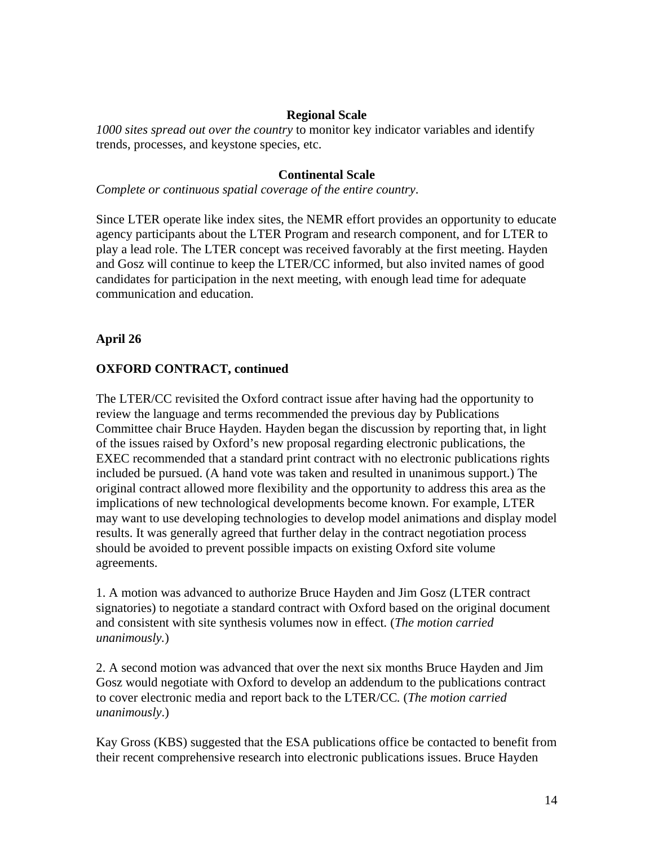## **Regional Scale**

*1000 sites spread out over the country* to monitor key indicator variables and identify trends, processes, and keystone species, etc.

### **Continental Scale**

*Complete or continuous spatial coverage of the entire country*.

Since LTER operate like index sites, the NEMR effort provides an opportunity to educate agency participants about the LTER Program and research component, and for LTER to play a lead role. The LTER concept was received favorably at the first meeting. Hayden and Gosz will continue to keep the LTER/CC informed, but also invited names of good candidates for participation in the next meeting, with enough lead time for adequate communication and education.

# **April 26**

## **OXFORD CONTRACT, continued**

The LTER/CC revisited the Oxford contract issue after having had the opportunity to review the language and terms recommended the previous day by Publications Committee chair Bruce Hayden. Hayden began the discussion by reporting that, in light of the issues raised by Oxford's new proposal regarding electronic publications, the EXEC recommended that a standard print contract with no electronic publications rights included be pursued. (A hand vote was taken and resulted in unanimous support.) The original contract allowed more flexibility and the opportunity to address this area as the implications of new technological developments become known. For example, LTER may want to use developing technologies to develop model animations and display model results. It was generally agreed that further delay in the contract negotiation process should be avoided to prevent possible impacts on existing Oxford site volume agreements.

1. A motion was advanced to authorize Bruce Hayden and Jim Gosz (LTER contract signatories) to negotiate a standard contract with Oxford based on the original document and consistent with site synthesis volumes now in effect*.* (*The motion carried unanimously.*)

2. A second motion was advanced that over the next six months Bruce Hayden and Jim Gosz would negotiate with Oxford to develop an addendum to the publications contract to cover electronic media and report back to the LTER/CC*.* (*The motion carried unanimously*.)

Kay Gross (KBS) suggested that the ESA publications office be contacted to benefit from their recent comprehensive research into electronic publications issues. Bruce Hayden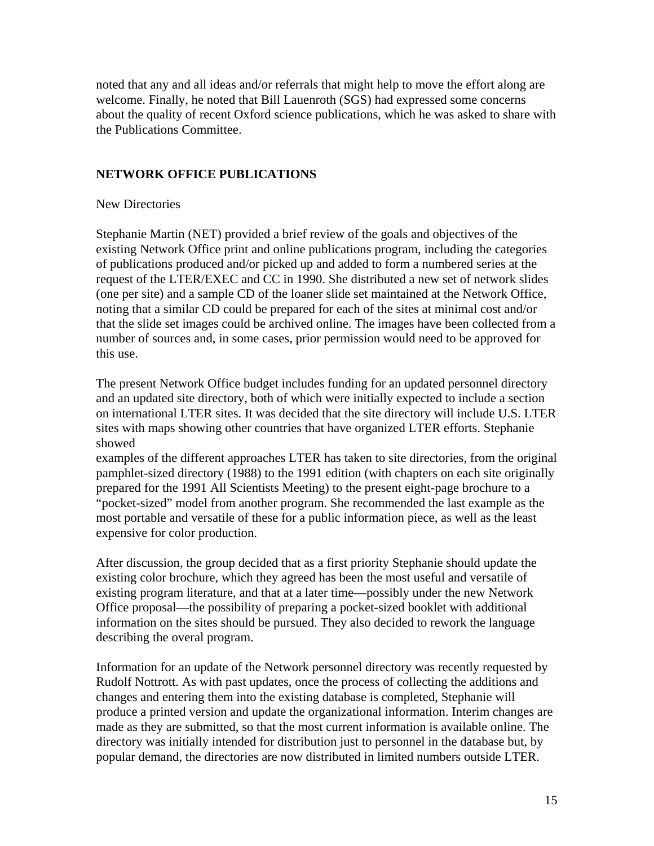noted that any and all ideas and/or referrals that might help to move the effort along are welcome. Finally, he noted that Bill Lauenroth (SGS) had expressed some concerns about the quality of recent Oxford science publications, which he was asked to share with the Publications Committee.

## **NETWORK OFFICE PUBLICATIONS**

New Directories

Stephanie Martin (NET) provided a brief review of the goals and objectives of the existing Network Office print and online publications program, including the categories of publications produced and/or picked up and added to form a numbered series at the request of the LTER/EXEC and CC in 1990. She distributed a new set of network slides (one per site) and a sample CD of the loaner slide set maintained at the Network Office, noting that a similar CD could be prepared for each of the sites at minimal cost and/or that the slide set images could be archived online. The images have been collected from a number of sources and, in some cases, prior permission would need to be approved for this use.

The present Network Office budget includes funding for an updated personnel directory and an updated site directory, both of which were initially expected to include a section on international LTER sites. It was decided that the site directory will include U.S. LTER sites with maps showing other countries that have organized LTER efforts. Stephanie showed

examples of the different approaches LTER has taken to site directories, from the original pamphlet-sized directory (1988) to the 1991 edition (with chapters on each site originally prepared for the 1991 All Scientists Meeting) to the present eight-page brochure to a "pocket-sized" model from another program. She recommended the last example as the most portable and versatile of these for a public information piece, as well as the least expensive for color production.

After discussion, the group decided that as a first priority Stephanie should update the existing color brochure, which they agreed has been the most useful and versatile of existing program literature, and that at a later time—possibly under the new Network Office proposal—the possibility of preparing a pocket-sized booklet with additional information on the sites should be pursued. They also decided to rework the language describing the overal program.

Information for an update of the Network personnel directory was recently requested by Rudolf Nottrott. As with past updates, once the process of collecting the additions and changes and entering them into the existing database is completed, Stephanie will produce a printed version and update the organizational information. Interim changes are made as they are submitted, so that the most current information is available online. The directory was initially intended for distribution just to personnel in the database but, by popular demand, the directories are now distributed in limited numbers outside LTER.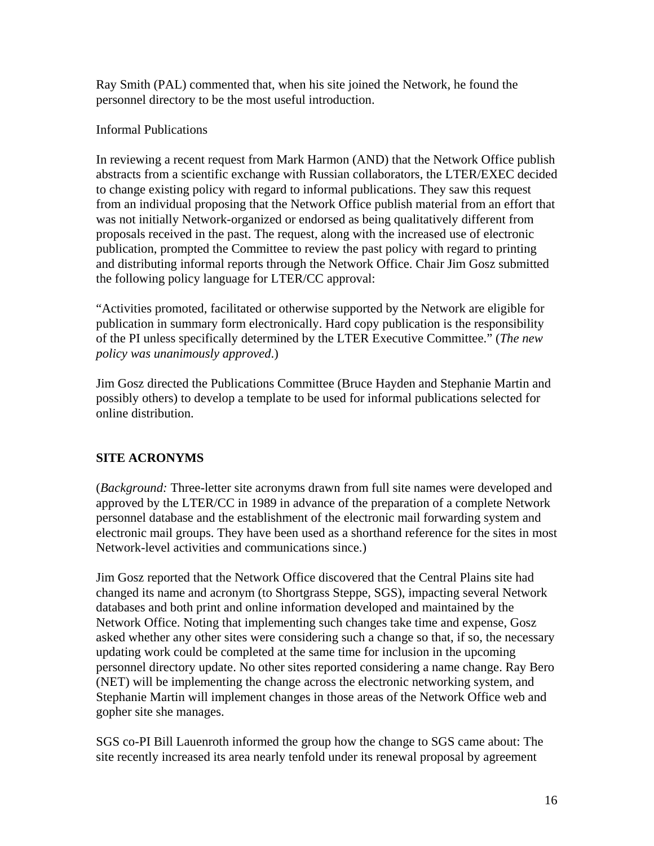Ray Smith (PAL) commented that, when his site joined the Network, he found the personnel directory to be the most useful introduction.

# Informal Publications

In reviewing a recent request from Mark Harmon (AND) that the Network Office publish abstracts from a scientific exchange with Russian collaborators, the LTER/EXEC decided to change existing policy with regard to informal publications. They saw this request from an individual proposing that the Network Office publish material from an effort that was not initially Network-organized or endorsed as being qualitatively different from proposals received in the past. The request, along with the increased use of electronic publication, prompted the Committee to review the past policy with regard to printing and distributing informal reports through the Network Office. Chair Jim Gosz submitted the following policy language for LTER/CC approval:

"Activities promoted, facilitated or otherwise supported by the Network are eligible for publication in summary form electronically. Hard copy publication is the responsibility of the PI unless specifically determined by the LTER Executive Committee." (*The new policy was unanimously approved*.)

Jim Gosz directed the Publications Committee (Bruce Hayden and Stephanie Martin and possibly others) to develop a template to be used for informal publications selected for online distribution.

# **SITE ACRONYMS**

(*Background:* Three-letter site acronyms drawn from full site names were developed and approved by the LTER/CC in 1989 in advance of the preparation of a complete Network personnel database and the establishment of the electronic mail forwarding system and electronic mail groups. They have been used as a shorthand reference for the sites in most Network-level activities and communications since.)

Jim Gosz reported that the Network Office discovered that the Central Plains site had changed its name and acronym (to Shortgrass Steppe, SGS), impacting several Network databases and both print and online information developed and maintained by the Network Office. Noting that implementing such changes take time and expense, Gosz asked whether any other sites were considering such a change so that, if so, the necessary updating work could be completed at the same time for inclusion in the upcoming personnel directory update. No other sites reported considering a name change. Ray Bero (NET) will be implementing the change across the electronic networking system, and Stephanie Martin will implement changes in those areas of the Network Office web and gopher site she manages.

SGS co-PI Bill Lauenroth informed the group how the change to SGS came about: The site recently increased its area nearly tenfold under its renewal proposal by agreement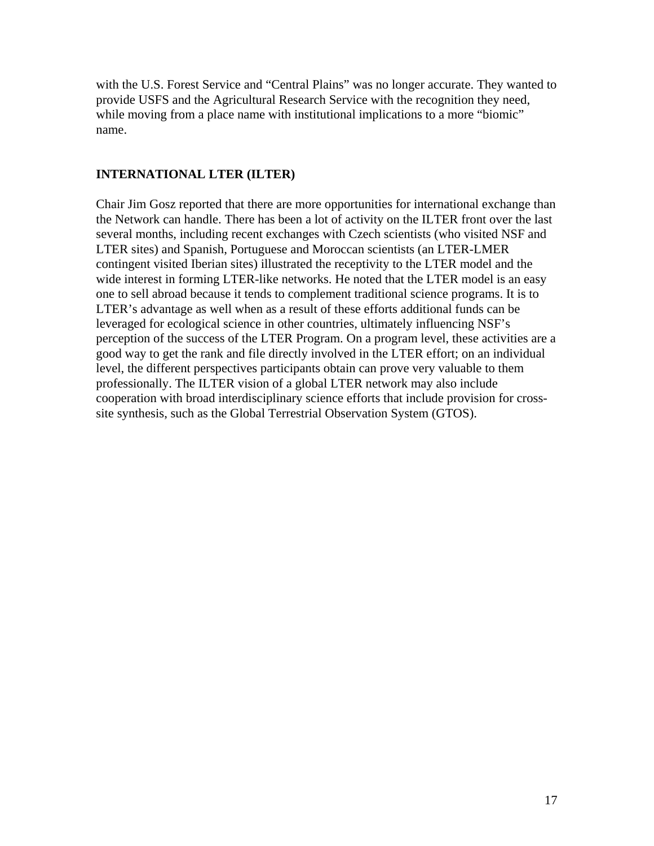with the U.S. Forest Service and "Central Plains" was no longer accurate. They wanted to provide USFS and the Agricultural Research Service with the recognition they need, while moving from a place name with institutional implications to a more "biomic" name.

# **INTERNATIONAL LTER (ILTER)**

Chair Jim Gosz reported that there are more opportunities for international exchange than the Network can handle. There has been a lot of activity on the ILTER front over the last several months, including recent exchanges with Czech scientists (who visited NSF and LTER sites) and Spanish, Portuguese and Moroccan scientists (an LTER-LMER contingent visited Iberian sites) illustrated the receptivity to the LTER model and the wide interest in forming LTER-like networks. He noted that the LTER model is an easy one to sell abroad because it tends to complement traditional science programs. It is to LTER's advantage as well when as a result of these efforts additional funds can be leveraged for ecological science in other countries, ultimately influencing NSF's perception of the success of the LTER Program. On a program level, these activities are a good way to get the rank and file directly involved in the LTER effort; on an individual level, the different perspectives participants obtain can prove very valuable to them professionally. The ILTER vision of a global LTER network may also include cooperation with broad interdisciplinary science efforts that include provision for crosssite synthesis, such as the Global Terrestrial Observation System (GTOS).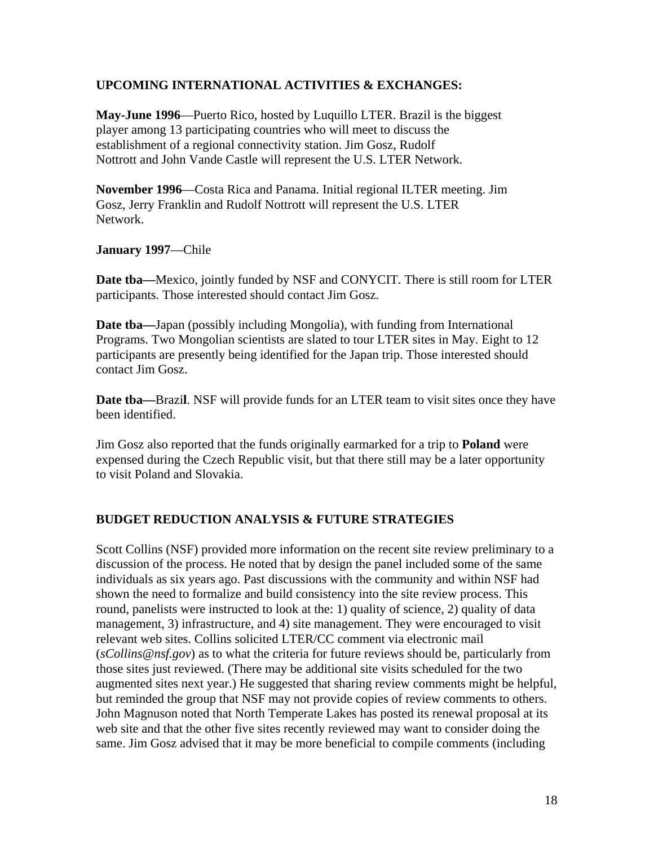# **UPCOMING INTERNATIONAL ACTIVITIES & EXCHANGES:**

**May-June 1996**—Puerto Rico, hosted by Luquillo LTER. Brazil is the biggest player among 13 participating countries who will meet to discuss the establishment of a regional connectivity station. Jim Gosz, Rudolf Nottrott and John Vande Castle will represent the U.S. LTER Network.

**November 1996**—Costa Rica and Panama. Initial regional ILTER meeting. Jim Gosz, Jerry Franklin and Rudolf Nottrott will represent the U.S. LTER Network.

**January 1997**—Chile

**Date tba—**Mexico, jointly funded by NSF and CONYCIT. There is still room for LTER participants. Those interested should contact Jim Gosz.

**Date tba—**Japan (possibly including Mongolia), with funding from International Programs. Two Mongolian scientists are slated to tour LTER sites in May. Eight to 12 participants are presently being identified for the Japan trip. Those interested should contact Jim Gosz.

**Date tba—**Brazi**l**. NSF will provide funds for an LTER team to visit sites once they have been identified.

Jim Gosz also reported that the funds originally earmarked for a trip to **Poland** were expensed during the Czech Republic visit, but that there still may be a later opportunity to visit Poland and Slovakia.

# **BUDGET REDUCTION ANALYSIS & FUTURE STRATEGIES**

Scott Collins (NSF) provided more information on the recent site review preliminary to a discussion of the process. He noted that by design the panel included some of the same individuals as six years ago. Past discussions with the community and within NSF had shown the need to formalize and build consistency into the site review process. This round, panelists were instructed to look at the: 1) quality of science, 2) quality of data management, 3) infrastructure, and 4) site management. They were encouraged to visit relevant web sites. Collins solicited LTER/CC comment via electronic mail (*sCollins@nsf.gov*) as to what the criteria for future reviews should be, particularly from those sites just reviewed. (There may be additional site visits scheduled for the two augmented sites next year.) He suggested that sharing review comments might be helpful, but reminded the group that NSF may not provide copies of review comments to others. John Magnuson noted that North Temperate Lakes has posted its renewal proposal at its web site and that the other five sites recently reviewed may want to consider doing the same. Jim Gosz advised that it may be more beneficial to compile comments (including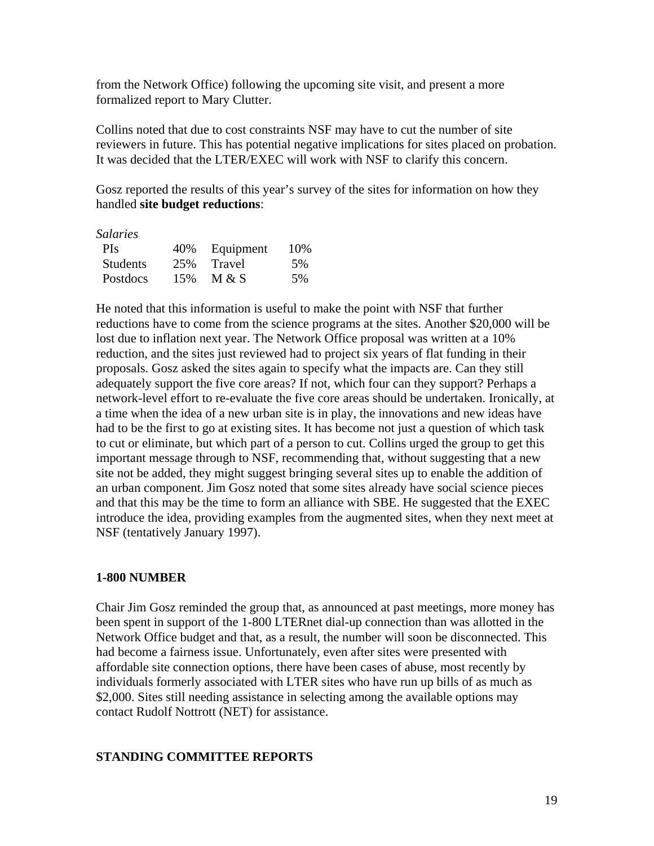from the Network Office) following the upcoming site visit, and present a more formalized report to Mary Clutter.

Collins noted that due to cost constraints NSF may have to cut the number of site reviewers in future. This has potential negative implications for sites placed on probation. It was decided that the LTER/EXEC will work with NSF to clarify this concern.

Gosz reported the results of this year's survey of the sites for information on how they handled **site budget reductions**:

| Salaries        |     |           |      |
|-----------------|-----|-----------|------|
| <b>PIs</b>      | 40% | Equipment | 10\% |
| <b>Students</b> | 25% | Travel    | 5%   |
| Postdocs        | 15% | M & S     | 5%   |

He noted that this information is useful to make the point with NSF that further reductions have to come from the science programs at the sites. Another \$20,000 will be lost due to inflation next year. The Network Office proposal was written at a 10% reduction, and the sites just reviewed had to project six years of flat funding in their proposals. Gosz asked the sites again to specify what the impacts are. Can they still adequately support the five core areas? If not, which four can they support? Perhaps a network-level effort to re-evaluate the five core areas should be undertaken. Ironically, at a time when the idea of a new urban site is in play, the innovations and new ideas have had to be the first to go at existing sites. It has become not just a question of which task to cut or eliminate, but which part of a person to cut. Collins urged the group to get this important message through to NSF, recommending that, without suggesting that a new site not be added, they might suggest bringing several sites up to enable the addition of an urban component. Jim Gosz noted that some sites already have social science pieces and that this may be the time to form an alliance with SBE. He suggested that the EXEC introduce the idea, providing examples from the augmented sites, when they next meet at NSF (tentatively January 1997).

### **1-800 NUMBER**

Chair Jim Gosz reminded the group that, as announced at past meetings, more money has been spent in support of the 1-800 LTERnet dial-up connection than was allotted in the Network Office budget and that, as a result, the number will soon be disconnected. This had become a fairness issue. Unfortunately, even after sites were presented with affordable site connection options, there have been cases of abuse, most recently by individuals formerly associated with LTER sites who have run up bills of as much as \$2,000. Sites still needing assistance in selecting among the available options may contact Rudolf Nottrott (NET) for assistance.

### **STANDING COMMITTEE REPORTS**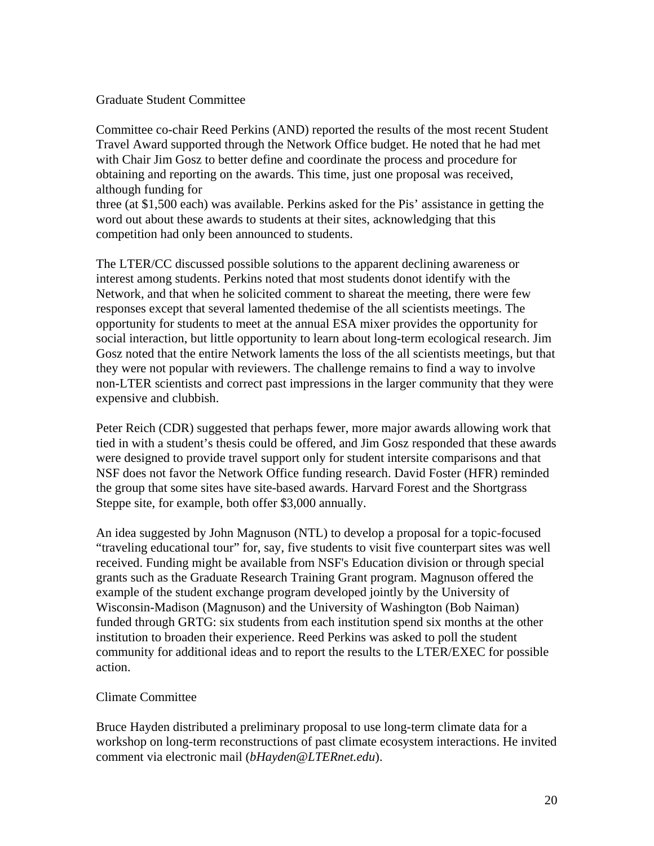### Graduate Student Committee

Committee co-chair Reed Perkins (AND) reported the results of the most recent Student Travel Award supported through the Network Office budget. He noted that he had met with Chair Jim Gosz to better define and coordinate the process and procedure for obtaining and reporting on the awards. This time, just one proposal was received, although funding for

three (at \$1,500 each) was available. Perkins asked for the Pis' assistance in getting the word out about these awards to students at their sites, acknowledging that this competition had only been announced to students.

The LTER/CC discussed possible solutions to the apparent declining awareness or interest among students. Perkins noted that most students donot identify with the Network, and that when he solicited comment to shareat the meeting, there were few responses except that several lamented thedemise of the all scientists meetings. The opportunity for students to meet at the annual ESA mixer provides the opportunity for social interaction, but little opportunity to learn about long-term ecological research. Jim Gosz noted that the entire Network laments the loss of the all scientists meetings, but that they were not popular with reviewers. The challenge remains to find a way to involve non-LTER scientists and correct past impressions in the larger community that they were expensive and clubbish.

Peter Reich (CDR) suggested that perhaps fewer, more major awards allowing work that tied in with a student's thesis could be offered, and Jim Gosz responded that these awards were designed to provide travel support only for student intersite comparisons and that NSF does not favor the Network Office funding research. David Foster (HFR) reminded the group that some sites have site-based awards. Harvard Forest and the Shortgrass Steppe site, for example, both offer \$3,000 annually.

An idea suggested by John Magnuson (NTL) to develop a proposal for a topic-focused "traveling educational tour" for, say, five students to visit five counterpart sites was well received. Funding might be available from NSF's Education division or through special grants such as the Graduate Research Training Grant program. Magnuson offered the example of the student exchange program developed jointly by the University of Wisconsin-Madison (Magnuson) and the University of Washington (Bob Naiman) funded through GRTG: six students from each institution spend six months at the other institution to broaden their experience. Reed Perkins was asked to poll the student community for additional ideas and to report the results to the LTER/EXEC for possible action.

### Climate Committee

Bruce Hayden distributed a preliminary proposal to use long-term climate data for a workshop on long-term reconstructions of past climate ecosystem interactions. He invited comment via electronic mail (*bHayden@LTERnet.edu*).